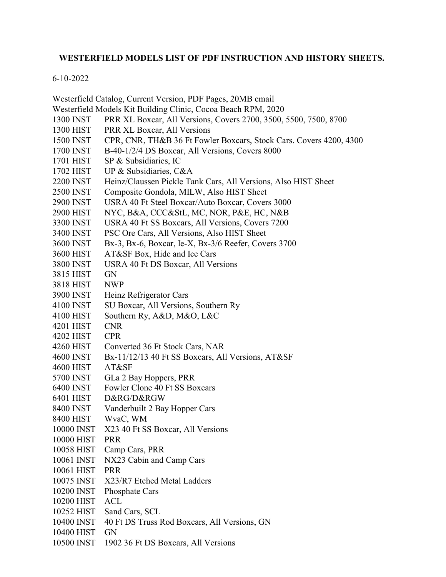## **WESTERFIELD MODELS LIST OF PDF INSTRUCTION AND HISTORY SHEETS.**

## 6-10-2022

|                  | Westerfield Catalog, Current Version, PDF Pages, 20MB email        |
|------------------|--------------------------------------------------------------------|
|                  | Westerfield Models Kit Building Clinic, Cocoa Beach RPM, 2020      |
| <b>1300 INST</b> | PRR XL Boxcar, All Versions, Covers 2700, 3500, 5500, 7500, 8700   |
| 1300 HIST        | PRR XL Boxcar, All Versions                                        |
| 1500 INST        | CPR, CNR, TH&B 36 Ft Fowler Boxcars, Stock Cars. Covers 4200, 4300 |
| 1700 INST        | B-40-1/2/4 DS Boxcar, All Versions, Covers 8000                    |
| 1701 HIST        | SP & Subsidiaries, IC                                              |
| 1702 HIST        | UP & Subsidiaries, C&A                                             |
| <b>2200 INST</b> | Heinz/Claussen Pickle Tank Cars, All Versions, Also HIST Sheet     |
| <b>2500 INST</b> | Composite Gondola, MILW, Also HIST Sheet                           |
| <b>2900 INST</b> | USRA 40 Ft Steel Boxcar/Auto Boxcar, Covers 3000                   |
| 2900 HIST        | NYC, B&A, CCC&StL, MC, NOR, P&E, HC, N&B                           |
| 3300 INST        | USRA 40 Ft SS Boxcars, All Versions, Covers 7200                   |
| 3400 INST        | PSC Ore Cars, All Versions, Also HIST Sheet                        |
| 3600 INST        | Bx-3, Bx-6, Boxcar, Ie-X, Bx-3/6 Reefer, Covers 3700               |
| 3600 HIST        | AT&SF Box, Hide and Ice Cars                                       |
| 3800 INST        | USRA 40 Ft DS Boxcar, All Versions                                 |
| 3815 HIST        | <b>GN</b>                                                          |
| 3818 HIST        | <b>NWP</b>                                                         |
| 3900 INST        | Heinz Refrigerator Cars                                            |
| 4100 INST        | SU Boxcar, All Versions, Southern Ry                               |
| 4100 HIST        | Southern Ry, A&D, M&O, L&C                                         |
| 4201 HIST        | <b>CNR</b>                                                         |
| 4202 HIST        | <b>CPR</b>                                                         |
| 4260 HIST        | Converted 36 Ft Stock Cars, NAR                                    |
| 4600 INST        | Bx-11/12/13 40 Ft SS Boxcars, All Versions, AT&SF                  |
| <b>4600 HIST</b> | AT&SF                                                              |
| 5700 INST        | GLa 2 Bay Hoppers, PRR                                             |
| 6400 INST        | Fowler Clone 40 Ft SS Boxcars                                      |
| 6401 HIST        | D&RG/D&RGW                                                         |
| 8400 INST        | Vanderbuilt 2 Bay Hopper Cars                                      |
| 8400 HIST        | WvaC, WM                                                           |
| 10000 INST       | X23 40 Ft SS Boxcar, All Versions                                  |
| 10000 HIST       | <b>PRR</b>                                                         |
| 10058 HIST       | Camp Cars, PRR                                                     |
| 10061 INST       | NX23 Cabin and Camp Cars                                           |
| 10061 HIST       | <b>PRR</b>                                                         |
| 10075 INST       | X23/R7 Etched Metal Ladders                                        |
| 10200 INST       | Phosphate Cars                                                     |
| 10200 HIST       | <b>ACL</b>                                                         |
| 10252 HIST       | Sand Cars, SCL                                                     |
| 10400 INST       | 40 Ft DS Truss Rod Boxcars, All Versions, GN                       |
| 10400 HIST       | GN                                                                 |
| 10500 INST       | 1902 36 Ft DS Boxcars, All Versions                                |